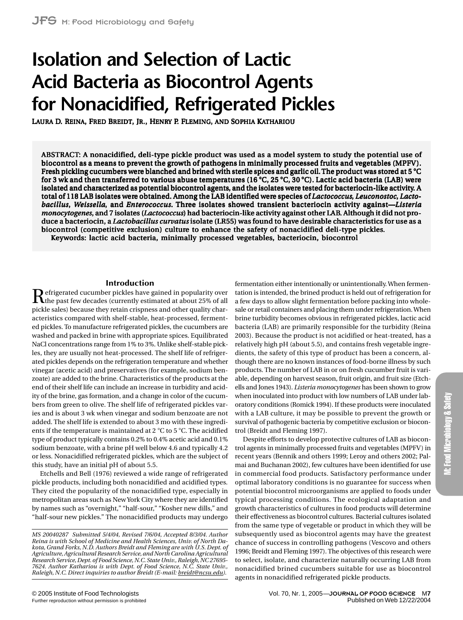# **Isolation and Selection of Lactic Acid Bacteria as Biocontrol Agents for Nonacidified, Refrigerated Pickles**

LAURA D. REINA, FRED BREIDT, JR., HENRY P. FLEMING, AND SOPHIA KATHARIOU

ABSTRACT: A nonacidified, deli-type pickle product was used as a model system to study the potential use of biocontrol as a means to prevent the growth of pathogens in minimally processed fruits and vegetables (MPFV). Fresh pickling cucumbers were blanched and brined with sterile spices and garlic oil. The product was stored at  $5^{\circ}C$ for 3 wk and then transferred to various abuse temperatures (16  $^{\circ}C$ , 25  $^{\circ}C$ , 30  $^{\circ}C$ ). Lactic acid bacteria (LAB) were isolated and characterized as potential biocontrol agents, and the isolates were tested for bacteriocin-like activity. A total of 118 LAB isolates were obtained. Among the LAB identified were species of *Lactococcus*, *Leuconostoc*, *Lactobacillus*, *Weissella*, and *Enterococcus*. Three isolates showed transient bacteriocin activity against—*Listeria monocytogenes*, and 7 isolates (*Lactococcus*) had bacteriocin-like activity against other LAB. Although it did not produce a bacteriocin, a *Lactobacillus curvatus* isolate (LR55) was found to have desirable characteristics for use as a biocontrol (competitive exclusion) culture to enhance the safety of nonacidified deli-type pickles. Keywords: lactic acid bacteria, minimally processed vegetables, bacteriocin, biocontrol

## **Introduction**

Refrigerated cucumber pickles have gained in popularity over the past few decades (currently estimated at about 25% of all pickle sales) because they retain crispness and other quality characteristics compared with shelf-stable, heat-processed, fermented pickles. To manufacture refrigerated pickles, the cucumbers are washed and packed in brine with appropriate spices. Equilibrated NaCl concentrations range from 1% to 3%. Unlike shelf-stable pickles, they are usually not heat-processed. The shelf life of refrigerated pickles depends on the refrigeration temperature and whether vinegar (acetic acid) and preservatives (for example, sodium benzoate) are added to the brine. Characteristics of the products at the end of their shelf life can include an increase in turbidity and acidity of the brine, gas formation, and a change in color of the cucumbers from green to olive. The shelf life of refrigerated pickles varies and is about 3 wk when vinegar and sodium benzoate are not added. The shelf life is extended to about 3 mo with these ingredients if the temperature is maintained at 2  $^{\circ}$ C to 5  $^{\circ}$ C. The acidified type of product typically contains 0.2% to 0.4% acetic acid and 0.1% sodium benzoate, with a brine pH well below 4.6 and typically 4.2 or less. Nonacidified refrigerated pickles, which are the subject of this study, have an initial pH of about 5.5.

Etchells and Bell (1976) reviewed a wide range of refrigerated pickle products, including both nonacidified and acidified types. They cited the popularity of the nonacidified type, especially in metropolitan areas such as New York City where they are identified by names such as "overnight," "half-sour," "Kosher new dills," and "half-sour new pickles." The nonacidified products may undergo

*MS 20040287 Submitted 5/4/04, Revised 7/6/04, Accepted 8/3/04. Author Reina is with School of Medicine and Health Sciences, Univ. of North Dakota, Grand Forks, N.D. Authors Breidt and Fleming are with U.S. Dept. of Agriculture, Agricultural Research Service, and North Carolina Agricultural Research Service, Dept. of Food Science, N.C. State Univ., Raleigh, NC 27695- 7624. Author Kathariou is with Dept. of Food Science, N.C. State Univ., Raleigh, N.C. Direct inquiries to author Breidt (E-mail: [breidt@ncsu.edu\)](mailto:breidt@ncsu.edu).*

fermentation either intentionally or unintentionally. When fermentation is intended, the brined product is held out of refrigeration for a few days to allow slight fermentation before packing into wholesale or retail containers and placing them under refrigeration. When brine turbidity becomes obvious in refrigerated pickles, lactic acid bacteria (LAB) are primarily responsible for the turbidity (Reina 2003). Because the product is not acidified or heat-treated, has a relatively high pH (about 5.5), and contains fresh vegetable ingredients, the safety of this type of product has been a concern, although there are no known instances of food-borne illness by such products. The number of LAB in or on fresh cucumber fruit is variable, depending on harvest season, fruit origin, and fruit size (Etchells and Jones 1943). *Listeria monocytogenes* has been shown to grow when inoculated into product with low numbers of LAB under laboratory conditions (Romick 1994). If these products were inoculated with a LAB culture, it may be possible to prevent the growth or survival of pathogenic bacteria by competitive exclusion or biocontrol (Breidt and Fleming 1997).

Despite efforts to develop protective cultures of LAB as biocontrol agents in minimally processed fruits and vegetables (MPFV) in recent years (Bennik and others 1999; Leroy and others 2002; Palmai and Buchanan 2002), few cultures have been identified for use in commercial food products. Satisfactory performance under optimal laboratory conditions is no guarantee for success when potential biocontrol microorganisms are applied to foods under typical processing conditions. The ecological adaptation and growth characteristics of cultures in food products will determine their effectiveness as biocontrol cultures. Bacterial cultures isolated from the same type of vegetable or product in which they will be subsequently used as biocontrol agents may have the greatest chance of success in controlling pathogens (Vescovo and others 1996; Breidt and Fleming 1997). The objectives of this research were to select, isolate, and characterize naturally occurring LAB from nonacidified brined cucumbers suitable for use as biocontrol agents in nonacidified refrigerated pickle products.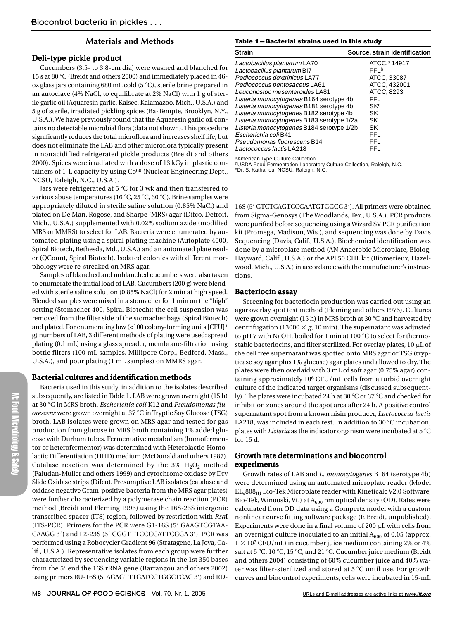## **Materials and Methods**

## Deli-type pickle product

Cucumbers (3.5- to 3.8-cm dia) were washed and blanched for 15 s at 80 °C (Breidt and others 2000) and immediately placed in 46oz glass jars containing 680 mL cold (5  $^{\circ}$ C), sterile brine prepared in an autoclave (4% NaCl, to equilibrate at 2% NaCl) with 1 g of sterile garlic oil (Aquaresin garlic, Kalsec, Kalamazoo, Mich., U.S.A.) and 5 g of sterile, irradiated pickling spices (Ba-Tempte, Brooklyn, N.Y., U.S.A.). We have previously found that the Aquaresin garlic oil contains no detectable microbial flora (data not shown). This procedure significantly reduces the total microflora and increases shelf life, but does not eliminate the LAB and other microflora typically present in nonacidified refrigerated pickle products (Breidt and others 2000). Spices were irradiated with a dose of 13 kGy in plastic containers of 1-L capacity by using Co<sup>60</sup> (Nuclear Engineering Dept., NCSU, Raleigh, N.C., U.S.A.).

Jars were refrigerated at 5  $\degree$ C for 3 wk and then transferred to various abuse temperatures (16 °C, 25 °C, 30 °C). Brine samples were appropriately diluted in sterile saline solution (0.85% NaCl) and plated on De Man, Rogose, and Sharpe (MRS) agar (Difco, Detroit, Mich., U.S.A.) supplemented with 0.02% sodium azide (modified MRS or MMRS) to select for LAB. Bacteria were enumerated by automated plating using a spiral plating machine (Autoplate 4000, Spiral Biotech, Bethesda, Md., U.S.A.) and an automated plate reader (QCount, Spiral Biotech). Isolated colonies with different morphology were re-streaked on MRS agar.

Samples of blanched and unblanched cucumbers were also taken to enumerate the initial load of LAB. Cucumbers (200 g) were blended with sterile saline solution (0.85% NaCl) for 2 min at high speed. Blended samples were mixed in a stomacher for 1 min on the "high" setting (Stomacher 400, Spiral Biotech); the cell suspension was removed from the filter side of the stomacher bags (Spiral Biotech) and plated. For enumerating low (<100 colony-forming units [CFU]/ g) numbers of LAB, 3 different methods of plating were used: spread plating (0.1 mL) using a glass spreader, membrane-filtration using bottle filters (100 mL samples, Millipore Corp., Bedford, Mass., U.S.A.), and pour plating (1 mL samples) on MMRS agar.

## Bacterial cultures and identification methods

Bacteria used in this study, in addition to the isolates described subsequently, are listed in Table 1. LAB were grown overnight (15 h) at 30 8C in MRS broth. *Escherichia coli* K12 and *Pseudomonas fluorescens* were grown overnight at 37 °C in Tryptic Soy Glucose (TSG) broth. LAB isolates were grown on MRS agar and tested for gas production from glucose in MRS broth containing 1% added glucose with Durham tubes. Fermentative metabolism (homofermentor or heterofermentor) was determined with Heterolactic-Homolactic Differentiation (HHD) medium (McDonald and others 1987). Catalase reaction was determined by the 3%  $H_2O_2$  method (Paludan-Muller and others 1999) and cytochrome oxidase by Dry Slide Oxidase strips (Difco). Presumptive LAB isolates (catalase and oxidase negative Gram-positive bacteria from the MRS agar plates) were further characterized by a polymerase chain reaction (PCR) method (Breidt and Fleming 1996) using the 16S-23S intergenic transcribed spacer (ITS) region, followed by restriction with *Rsa*I (ITS-PCR). Primers for the PCR were G1-16S (5' GAAGTCGTAA-CAAGG 3') and L2-23S (5' GGGTTTCCCCATTCGGA 3'). PCR was performed using a Robocycler Gradient 96 (Stratagene, La Joya, Calif., U.S.A.). Representative isolates from each group were further characterized by sequencing variable regions in the 1st 350 bases from the 5' end the 16S rRNA gene (Barrangou and others 2002) using primers RU-16S (5' AGAGTTTGATCCTGGCTCAG 3') and RD-

#### **Table 1—Bacterial strains used in this study**

| <b>Strain</b>                             | Source, strain identification |
|-------------------------------------------|-------------------------------|
| Lactobacillus plantarum LA70              | ATCC. <sup>a</sup> 14917      |
| Lactobacillus plantarum BI7               | FFI <sub>b</sub>              |
| Pediococcus dextrinicus LA77              | ATCC, 33087                   |
| Pediococcus pentosaceus LA61              | ATCC, 432001                  |
| Leuconostoc mesenteroides LA81            | ATCC, 8293                    |
| Listeria monocytogenes B164 serotype 4b   | FFL                           |
| Listeria monocytogenes B181 serotype 4b   | SKc                           |
| Listeria monocytogenes B182 serotype 4b   | SK                            |
| Listeria monocytogenes B183 serotype 1/2a | SK                            |
| Listeria monocytogenes B184 serotype 1/2b | SK                            |
| Escherichia coli B41                      | <b>FFL</b>                    |
| Pseudomonas fluorescens B14               | FFL                           |
| Lactococcus lactis LA218                  | FFL                           |

aAmerican Type Culture Collection.

bUSDA Food Fermentation Laboratory Culture Collection, Raleigh, N.C. cDr. S. Kathariou, NCSU, Raleigh, N.C.

16S (5' GTCTCAGTCCCAATGTGGCC 3'). All primers were obtained from Sigma-Genosys (The Woodlands, Tex., U.S.A.). PCR products were purified before sequencing using a Wizard SV PCR purification kit (Promega, Madison, Wis.), and sequencing was done by Davis Sequencing (Davis, Calif., U.S.A.). Biochemical identification was done by a microplate method (AN Anaerobic Microplate, Biolog, Hayward, Calif., U.S.A.) or the API 50 CHL kit (Biomerieux, Hazelwood, Mich., U.S.A.) in accordance with the manufacturer's instructions.

## Bacteriocin assay

Screening for bacteriocin production was carried out using an agar overlay spot test method (Fleming and others 1975). Cultures were grown overnight (15 h) in MRS broth at 30  $^{\circ}$ C and harvested by centrifugation (13000  $\times$  g, 10 min). The supernatant was adjusted to pH 7 with NaOH, boiled for 1 min at 100  $\degree$ C to select for thermostable bacteriocins, and filter sterilized. For overlay plates,  $10 \mu L$  of the cell free supernatant was spotted onto MRS agar or TSG (trypticase soy agar plus 1% glucose) agar plates and allowed to dry. The plates were then overlaid with 3 mL of soft agar (0.75% agar) containing approximately 106 CFU/mL cells from a turbid overnight culture of the indicated target organisms (discussed subsequently). The plates were incubated 24 h at 30 °C or 37 °C and checked for inhibition zones around the spot area after 24 h. A positive control supernatant spot from a known nisin producer, *Lactococcus lactis* LA218, was included in each test. In addition to 30  $\degree$ C incubation, plates with *Listeria* as the indicator organism were incubated at 5 °C for 15 d.

## Growth rate determinations and biocontrol experiments

Growth rates of LAB and *L. monocytogenes* B164 (serotype 4b) were determined using an automated microplate reader (Model  $EL_x808_{\text{III}}$  Bio-Tek Microplate reader with Kineticalc V2.0 Software, Bio-Tek, Winooski, Vt.) at  $A_{600}$  nm optical density (OD). Rates were calculated from OD data using a Gompertz model with a custom nonlinear curve fitting software package (F. Breidt, unpublished). Experiments were done in a final volume of 200  $\mu$ L with cells from an overnight culture inoculated to an initial  $A_{600}$  of 0.05 (approx.  $1 \times 10^7$  CFU/mL) in cucumber juice medium containing 2% or 4% salt at 5 °C, 10 °C, 15 °C, and 21 °C. Cucumber juice medium (Breidt and others 2004) consisting of 60% cucumber juice and 40% water was filter-sterilized and stored at  $5^{\circ}$ C until use. For growth curves and biocontrol experiments, cells were incubated in 15-mL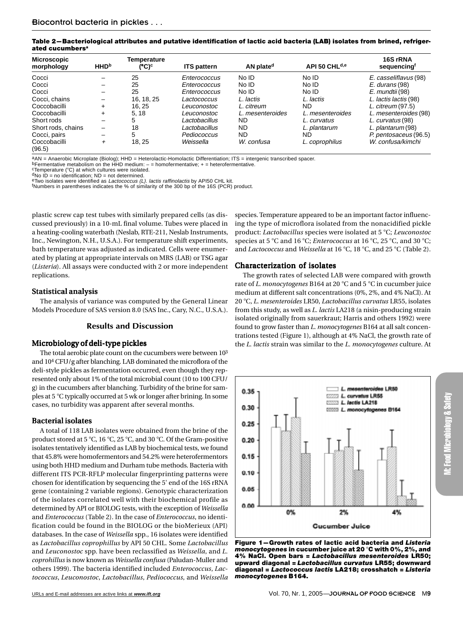**Table 2—Bacteriological attributes and putative identification of lactic acid bacteria (LAB) isolates from brined, refrigerated cucumbersa**

| <b>Microscopic</b><br>morphology | <b>HHD</b> <sup>b</sup>  | Temperature<br>(°C)° | <b>ITS pattern</b> | AN plate <sup>d</sup> | API 50 CHL <sup>d,e</sup> | 16S rRNA<br>sequencing |
|----------------------------------|--------------------------|----------------------|--------------------|-----------------------|---------------------------|------------------------|
|                                  |                          |                      |                    |                       |                           |                        |
| Cocci                            |                          | 25                   | Enterococcus       | No ID                 | No ID                     | E. casseliflavus (98)  |
| Cocci                            | $\overline{\phantom{0}}$ | 25                   | Enterococcus       | No ID                 | No ID                     | $E.$ durans (98)       |
| Cocci                            | -                        | 25                   | Enterococcus       | No ID                 | No ID                     | E. mundtii (98)        |
| Cocci, chains                    |                          | 16, 18, 25           | Lactococcus        | L. lactis             | L. lactis                 | L. lactis lactis (98)  |
| Coccobacilli                     | $\ddot{}$                | 16.25                | Leuconostoc        | L. citreum            | ND.                       | L. citreum (97.5)      |
| Coccobacilli                     | ÷                        | 5.18                 | Leuconostoc        | L. mesenteroides      | L. mesenteroides          | L. mesenteroides (98)  |
| Short rods                       | -                        | 5                    | Lactobacillus      | ND                    | L. curvatus               | L. curvatus (98)       |
| Short rods, chains               | -                        | 18                   | Lactobacillus      | <b>ND</b>             | L. plantarum              | L. plantarum (98)      |
| Cocci, pairs                     | $\overline{\phantom{0}}$ | 5                    | Pediococcus        | ND.                   | ND                        | P. pentosaceus (96.5)  |
| Coccobacilli<br>(96.5)           | $\ddot{}$                | 18.25                | Weissella          | W. confusa            | L. coprophilus            | W. confusa/kimchi      |

aAN = Anaerobic Microplate (Biolog); HHD = Heterolactic-Homolactic Differentiation; ITS = intergenic transcribed spacer.

bFermentative metabolism on the HHD medium:  $-$  = homofermentative; + = heterofermentative.<br><sup>c</sup>Temperature (°C) at which cultures were isolated.

 $d$ No ID = no identification; ND = not determined.<br><sup>e</sup>Two isolates were identified as *Lactococcus (L). lactis raffinolactis* by API50 CHL kit.

<sup>f</sup>Numbers in parentheses indicates the % of similarity of the 300 bp of the 16S (PCR) product.

plastic screw cap test tubes with similarly prepared cells (as discussed previously) in a 10-mL final volume. Tubes were placed in a heating-cooling waterbath (Neslab, RTE-211, Neslab Instruments, Inc., Newington, N.H., U.S.A.). For temperature shift experiments, bath temperature was adjusted as indicated. Cells were enumerated by plating at appropriate intervals on MRS (LAB) or TSG agar (*Listeria*). All assays were conducted with 2 or more independent replications.

## Statistical analysis

The analysis of variance was computed by the General Linear Models Procedure of SAS version 8.0 (SAS Inc., Cary, N.C., U.S.A.).

#### **Results and Discussion**

## Microbiology of deli-type pickles

The total aerobic plate count on the cucumbers were between  $10^3$ and 104 CFU/g after blanching. LAB dominated the microflora of the deli-style pickles as fermentation occurred, even though they represented only about 1% of the total microbial count (10 to 100 CFU/ g) in the cucumbers after blanching. Turbidity of the brine for samples at 5 °C typically occurred at 5 wk or longer after brining. In some cases, no turbidity was apparent after several months.

# Bacterial isolates

A total of 118 LAB isolates were obtained from the brine of the product stored at 5 °C, 16 °C, 25 °C, and 30 °C. Of the Gram-positive isolates tentatively identified as LAB by biochemical tests, we found that 45.8% were homofermentors and 54.2% were heterofermentors using both HHD medium and Durham tube methods. Bacteria with different ITS PCR-RFLP molecular fingerprinting patterns were chosen for identification by sequencing the 5' end of the 16S rRNA gene (containing 2 variable regions). Genotypic characterization of the isolates correlated well with their biochemical profile as determined by API or BIOLOG tests, with the exception of *Weissella* and *Enterococcus* (Table 2). In the case of *Enterococcus*, no identification could be found in the BIOLOG or the bioMerieux (API) databases. In the case of *Weissella* spp., 16 isolates were identified as *Lactobacillus coprophillus* by API 50 CHL*.* Some *Lactobacillus* and *Leuconostoc* spp. have been reclassified as *Weissella*, and *L. coprohillus* is now known as *Weissella confusa* (Paludan-Muller and others 1999). The bacteria identified included *Enterococcus*, *Lactococcus*, *Leuconostoc*, *Lactobacillus*, *Pediococcus*, and *Weissella*

species. Temperature appeared to be an important factor influencing the type of microflora isolated from the nonacidified pickle product: *Lactobacillus* species were isolated at 5 °C; *Leuconostoc* species at 5 °C and 16 °C; *Enterococcus* at 16 °C, 25 °C, and 30 °C; and *Lactococcus* and *Weissella* at 16 °C, 18 °C, and 25 °C (Table 2).

## Characterization of isolates

The growth rates of selected LAB were compared with growth rate of *L. monocytogenes* B164 at 20 °C and 5 °C in cucumber juice medium at different salt concentrations (0%, 2%, and 4% NaCl). At 20 8C, *L. mesenteroides* LR50, *Lactobacillus curvatus* LR55, isolates from this study, as well as *L. lactis* LA218 (a nisin-producing strain isolated originally from sauerkraut; Harris and others 1992) were found to grow faster than *L. monocytogenes* B164 at all salt concentrations tested (Figure 1), although at 4% NaCl, the growth rate of the *L. lactis* strain was similar to the *L. monocytogenes* culture. At



**Figure 1—Growth rates of lactic acid bacteria and** *Listeria monocytogenes* **in cucumber juice at 20** 8**C with 0%, 2%, and 4% NaCl. Open bars =** *Lactobacillus mesenteroides* **LR50; upward diagonal =** *Lactobacillus curvatus* **LR55; downward diagonal =** *Lactococcus lactis* **LA218; crosshatch =** *Listeria monocytogenes* **B164.**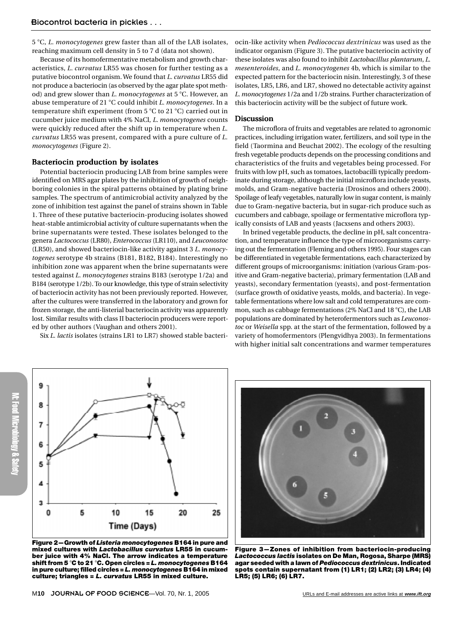5 8C, *L. monocytogenes* grew faster than all of the LAB isolates, reaching maximum cell density in 5 to 7 d (data not shown).

Because of its homofermentative metabolism and growth characteristics, *L. curvatus* LR55 was chosen for further testing as a putative biocontrol organism. We found that *L. curvatus* LR55 did not produce a bacteriocin (as observed by the agar plate spot method) and grew slower than *L. monocytogenes* at 5 °C. However, an abuse temperature of 21 °C could inhibit *L. monocytogenes*. In a temperature shift experiment (from  $5^{\circ}$ C to 21 $^{\circ}$ C) carried out in cucumber juice medium with 4% NaCl, *L. monocytogenes* counts were quickly reduced after the shift up in temperature when *L. curvatus* LR55 was present, compared with a pure culture of *L. monocytogenes* (Figure 2).

# Bacteriocin production by isolates

Potential bacteriocin producing LAB from brine samples were identified on MRS agar plates by the inhibition of growth of neighboring colonies in the spiral patterns obtained by plating brine samples. The spectrum of antimicrobial activity analyzed by the zone of inhibition test against the panel of strains shown in Table 1. Three of these putative bacteriocin-producing isolates showed heat-stable antimicrobial activity of culture supernatants when the brine supernatants were tested. These isolates belonged to the genera *Lactococcus* (LR80), *Enterococcus* (LR110), and *Leuconostoc* (LR50), and showed bacteriocin-like activity against 3 *L. monocytogenes* serotype 4b strains (B181, B182, B184). Interestingly no inhibition zone was apparent when the brine supernatants were tested against *L. monocytogenes* strains B183 (serotype 1/2a) and B184 (serotype 1/2b). To our knowledge, this type of strain selectivity of bacteriocin activity has not been previously reported. However, after the cultures were transferred in the laboratory and grown for frozen storage, the anti-listerial bacteriocin activity was apparently lost. Similar results with class II bacteriocin producers were reported by other authors (Vaughan and others 2001).

Six *L. lactis* isolates (strains LR1 to LR7) showed stable bacteri-

ocin-like activity when *Pediococcus dextrinicus* was used as the indicator organism (Figure 3). The putative bacteriocin activity of these isolates was also found to inhibit *Lactobacillus plantarum*, *L. mesenteroides*, and *L. monocytogenes* 4b, which is similar to the expected pattern for the bacteriocin nisin. Interestingly, 3 of these isolates, LR5, LR6, and LR7, showed no detectable activity against *L. monocytogenes* 1/2a and 1/2b strains. Further characterization of this bacteriocin activity will be the subject of future work.

#### Discussion

The microflora of fruits and vegetables are related to agronomic practices, including irrigation water, fertilizers, and soil type in the field (Taormina and Beuchat 2002). The ecology of the resulting fresh vegetable products depends on the processing conditions and characteristics of the fruits and vegetables being processed. For fruits with low pH, such as tomatoes, lactobacilli typically predominate during storage, although the initial microflora include yeasts, molds, and Gram-negative bacteria (Drosinos and others 2000). Spoilage of leafy vegetables, naturally low in sugar content, is mainly due to Gram-negative bacteria, but in sugar-rich produce such as cucumbers and cabbage, spoilage or fermentative microflora typically consists of LAB and yeasts (Jacxsens and others 2003).

In brined vegetable products, the decline in pH, salt concentration, and temperature influence the type of microorganisms carrying out the fermentation (Fleming and others 1995). Four stages can be differentiated in vegetable fermentations, each characterized by different groups of microorganisms: initiation (various Gram-positive and Gram-negative bacteria), primary fermentation (LAB and yeasts), secondary fermentation (yeasts), and post-fermentation (surface growth of oxidative yeasts, molds, and bacteria). In vegetable fermentations where low salt and cold temperatures are common, such as cabbage fermentations (2% NaCl and 18 $^{\circ}$ C), the LAB populations are dominated by heterofermentors such as *Leuconostoc* or *Weisella* spp. at the start of the fermentation, followed by a variety of homofermentors (Plengvidhya 2003). In fermentations with higher initial salt concentrations and warmer temperatures





**Figure 2—Growth of** *Listeria monocytogenes* **B164 in pure and mixed cultures with** *Lactobacillus curvatus* **LR55 in cucumber juice with 4% NaCl. The arrow indicates a temperature shift from 5** 8**C to 21** 8**C. Open circles =** *L. monocytogenes* **B164 in pure culture; filled circles =** *L. monocytogenes* **B164 in mixed culture; triangles =** *L. curvatus* **LR55 in mixed culture.**



**Figure 3—Zones of inhibition from bacteriocin-producing** *Lactococcus lactis* **isolates on De Man, Rogosa, Sharpe (MRS) agar seeded with a lawn of** *Pediococcus dextrinicus***. Indicated spots contain supernatant from (1) LR1; (2) LR2; (3) LR4; (4) LR5; (5) LR6; (6) LR7.**